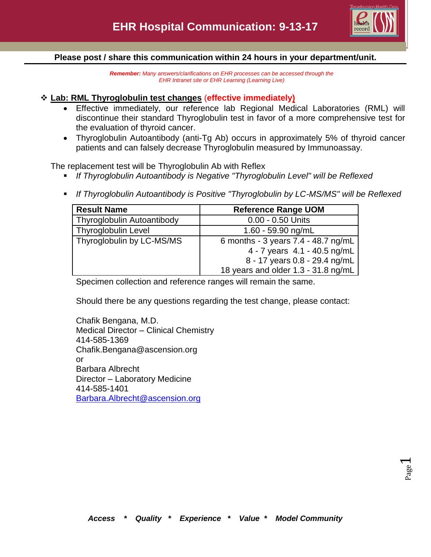

## **Please post / share this communication within 24 hours in your department/unit.**

*Remember: Many answers/clarifications on EHR processes can be accessed through the EHR Intranet site or EHR Learning (Learning Live)*

# **Lab: RML Thyroglobulin test changes** (**effective immediately)**

- Effective immediately, our reference lab Regional Medical Laboratories (RML) will discontinue their standard Thyroglobulin test in favor of a more comprehensive test for the evaluation of thyroid cancer.
- Thyroglobulin Autoantibody (anti-Tg Ab) occurs in approximately 5% of thyroid cancer patients and can falsely decrease Thyroglobulin measured by Immunoassay.

The replacement test will be Thyroglobulin Ab with Reflex

- *If Thyroglobulin Autoantibody is Negative "Thyroglobulin Level" will be Reflexed*
- *If Thyroglobulin Autoantibody is Positive "Thyroglobulin by LC-MS/MS" will be Reflexed*

| <b>Result Name</b>         | <b>Reference Range UOM</b>          |
|----------------------------|-------------------------------------|
| Thyroglobulin Autoantibody | 0.00 - 0.50 Units                   |
| <b>Thyroglobulin Level</b> | $1.60 - 59.90$ ng/mL                |
| Thyroglobulin by LC-MS/MS  | 6 months - 3 years 7.4 - 48.7 ng/mL |
|                            | 4 - 7 years 4.1 - 40.5 ng/mL        |
|                            | 8 - 17 years 0.8 - 29.4 ng/mL       |
|                            | 18 years and older 1.3 - 31.8 ng/mL |

Specimen collection and reference ranges will remain the same.

Should there be any questions regarding the test change, please contact:

Chafik Bengana, M.D. Medical Director – Clinical Chemistry 414-585-1369 Chafik.Bengana@ascension.org or Barbara Albrecht Director – Laboratory Medicine 414-585-1401 [Barbara.Albrecht@ascension.org](mailto:Barbara.Albrecht@ascension.org)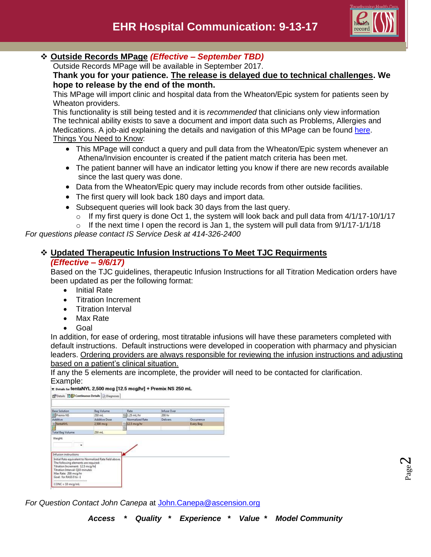

Page  $\boldsymbol{\sim}$ 

## **Outside Records MPage** *(Effective – September TBD)*

Outside Records MPage will be available in September 2017.

## **Thank you for your patience. The release is delayed due to technical challenges. We hope to release by the end of the month.**

This MPage will import clinic and hospital data from the Wheaton/Epic system for patients seen by Wheaton providers.

This functionality is still being tested and it is *recommended* that clinicians only view information The technical ability exists to save a document and import data such as Problems, Allergies and Medications. A job-aid explaining the details and navigation of this MPage can be found [here.](http://csmintranet.columbia-stmarys.org/ehr/documents/OutsideRecordsJobAid.pdf) Things You Need to Know:

- This MPage will conduct a query and pull data from the Wheaton/Epic system whenever an Athena/Invision encounter is created if the patient match criteria has been met.
- The patient banner will have an indicator letting you know if there are new records available since the last query was done.
- Data from the Wheaton/Epic query may include records from other outside facilities.
- The first query will look back 180 days and import data.
- Subsequent queries will look back 30 days from the last query.
	- $\circ$  If my first query is done Oct 1, the system will look back and pull data from 4/1/17-10/1/17
	- $\circ$  If the next time I open the record is Jan 1, the system will pull data from 9/1/17-1/1/18

*For questions please contact IS Service Desk at 414-326-2400*

# **Updated Therapeutic Infusion Instructions To Meet TJC Requirments**

## *(Effective – 9/6/17)*

Based on the TJC guidelines, therapeutic Infusion Instructions for all Titration Medication orders have been updated as per the following format:

- Initial Rate
- Titration Increment
- Titration Interval
- Max Rate
- Goal

In addition, for ease of ordering, most titratable infusions will have these parameters completed with default instructions. Default instructions were developed in cooperation with pharmacy and physician leaders. Ordering providers are always responsible for reviewing the infusion instructions and adjusting based on a patient's clinical situation.

If any the 5 elements are incomplete, the provider will need to be contacted for clarification.

# $\mathsf{Example}\colon \mathsf{Example}\colon \mathsf{Example}\:\mathsf{Example}\:\mathsf{Example}\:\mathsf{Example}\:\mathsf{Example}\:\mathsf{Example}\:\mathsf{Example}\:\mathsf{Example}\:\mathsf{Example}\:\mathsf{Example}\:\mathsf{Example}\:\mathsf{Example}\:\mathsf{Example}\:\mathsf{Example}\:\mathsf{Example}\:\mathsf{Example}\:\mathsf{Example}\:\mathsf{Example}\:\mathsf{Example}\:\mathsf{Example}\:\mathsf{Example}\:\mathsf{Example}\:\mathsf{Example}\:\mathsf{Example}\:\mathsf{Example}\:\mathsf{Example}\:\mathsf{Example}\:\mathsf{Example}\:\mathsf{Example}\:\mathsf{Example}\:\mathsf{Example}\:\mathsf{Example}\:\mathsf{Example}\:\mathsf{Example}\:\mathsf$

| <b>Base Solution</b>                                                                                                                       | <b>Bag Volume</b>                                       | Rate            | <b>Infuse Over</b> |                  |
|--------------------------------------------------------------------------------------------------------------------------------------------|---------------------------------------------------------|-----------------|--------------------|------------------|
| Premix NS                                                                                                                                  | 250 mL                                                  | EL25 mL/hr      | 200 hr             |                  |
| Additive                                                                                                                                   | <b>Additive Dose</b>                                    | Normalized Rate | <b>Delivers</b>    | Occurrence       |
| > fentaNYL                                                                                                                                 | 2.500 mcg                                               | E 12.5 mcg/hr   |                    | <b>Every Bag</b> |
|                                                                                                                                            |                                                         | E               |                    |                  |
| <b>Total Bag Volume</b>                                                                                                                    | 250 mL                                                  |                 |                    |                  |
|                                                                                                                                            |                                                         |                 |                    |                  |
|                                                                                                                                            |                                                         |                 |                    |                  |
| Weight:<br>Infusion instructions                                                                                                           |                                                         |                 |                    |                  |
|                                                                                                                                            | Initial Rate equivalent to Normalized Rate field above. |                 |                    |                  |
| The following elements are required:                                                                                                       |                                                         |                 |                    |                  |
|                                                                                                                                            |                                                         |                 |                    |                  |
|                                                                                                                                            |                                                         |                 |                    |                  |
| Titration Increment: 12.5 mcg/hr<br>Titration Interval: Q10 minutes<br>Max Rate: 200 mcg/hr<br>Goal: for RASS 0 to -1<br>***************** |                                                         |                 |                    |                  |

*For Question Contact John Canepa* at [John.Canepa@ascension.org](mailto:John.Canepa@ascension.org)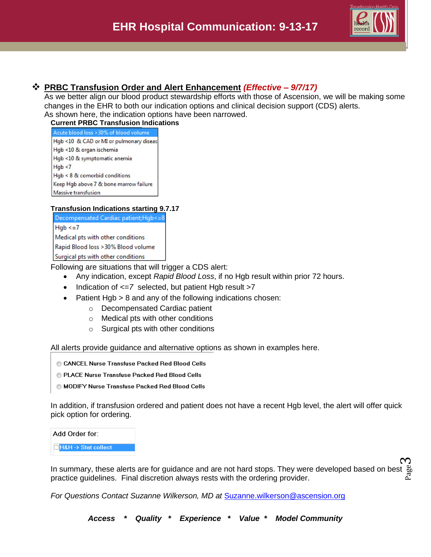

ო

# **PRBC Transfusion Order and Alert Enhancement** *(Effective – 9/7/17)*

As we better align our blood product stewardship efforts with those of Ascension, we will be making some changes in the EHR to both our indication options and clinical decision support (CDS) alerts. As shown here, the indication options have been narrowed.

#### **Current PRBC Transfusion Indications**

| Acute blood loss > 30% of blood volume  |
|-----------------------------------------|
| Hgb <10 & CAD or MI or pulmonary diseas |
| Hgb <10 & organ ischemia                |
| Hgb <10 & symptomatic anemia            |
| Hab < 7                                 |
| $Hqb < 8$ & comorbid conditions         |
| Keep Hgb above 7 & bone marrow failure  |
| Massive transfusion                     |

## **Transfusion Indications starting 9.7.17**

Decompensated Cardiac patient;Hgb<=8  $Hqb \leq 7$ Medical pts with other conditions Rapid Blood loss > 30% Blood volume Surgical pts with other conditions

Following are situations that will trigger a CDS alert:

- Any indication, except *Rapid Blood Loss*, if no Hgb result within prior 72 hours.
- Indication of  $\leq$  7 selected, but patient Hgb result >7
- Patient Hgb > 8 and any of the following indications chosen:
	- o Decompensated Cardiac patient
	- o Medical pts with other conditions
	- o Surgical pts with other conditions

All alerts provide guidance and alternative options as shown in examples here.

- CANCEL Nurse Transfuse Packed Red Blood Cells
- PLACE Nurse Transfuse Packed Red Blood Cells
- MODIFY Nurse Transfuse Packed Red Blood Cells

In addition, if transfusion ordered and patient does not have a recent Hgb level, the alert will offer quick pick option for ordering.

Add Order for:

**H&H-> Stat collect** 

In summary, these alerts are for guidance and are not hard stops. They were developed based on best  $\frac{8b}{20}$ <br>practice quidelines . Final discretion always rests with the ordering provider. practice guidelines. Final discretion always rests with the ordering provider.

*For Questions Contact Suzanne Wilkerson, MD at* [Suzanne.wilkerson@ascension.org](mailto:Suzanne.wilkerson@ascension.org)

*Access \* Quality \* Experience \* Value \* Model Community*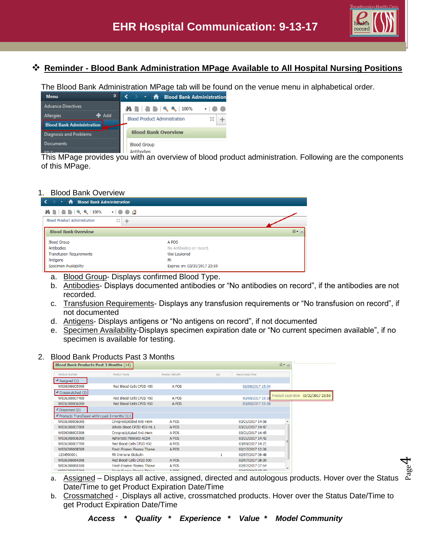

Page  $\overline{\mathcal{A}}$ 

# **Reminder - Blood Bank Administration MPage Available to All Hospital Nursing Positions**

The Blood Bank Administration MPage tab will be found on the venue menu in alphabetical order.

| <b>Menu</b><br>ņ                 | <b>THE Blood Bank Administration</b>                                                     |  |
|----------------------------------|------------------------------------------------------------------------------------------|--|
| <b>Advance Directives</b>        | $\mathbf{A} \mathbf{B} = \mathbf{A} \mathbf{B} + \mathbf{B} \mathbf{C} + \mathbf{100\%}$ |  |
| $#$ Add<br>Allergies             | <b>Blood Product Administration</b>                                                      |  |
| <b>Blood Bank Administration</b> |                                                                                          |  |
| Diagnosis and Problems           | <b>Blood Bank Overview</b>                                                               |  |
| Documents                        | <b>Blood Group</b>                                                                       |  |
|                                  | Antihodies                                                                               |  |

This MPage provides you with an overview of blood product administration. Following are the components of this MPage.

## 1. Blood Bank Overview

| $\langle \rangle$<br>T <b>A</b> Blood Bank Administration |                              |
|-----------------------------------------------------------|------------------------------|
| <b>ABBBC</b> 100% -   ● ● △                               |                              |
| <b>Blood Product Administration</b><br>x                  | n and a                      |
| <b>Blood Bank Overview</b>                                | $\equiv$ $\sim$ $\sim$       |
| <b>Blood Group</b>                                        | A POS                        |
| Antibodies                                                | No Antibodies on record.     |
| <b>Transfusion Requirements</b>                           | Use Leukored                 |
| Antigens                                                  | $M -$                        |
| Specimen Availability                                     | Expires on: 03/31/2017 23:59 |

- a. Blood Group- Displays confirmed Blood Type.
- b. Antibodies- Displays documented antibodies or "No antibodies on record", if the antibodies are not recorded.
- c. Transfusion Requirements- Displays any transfusion requirements or "No transfusion on record", if not documented
- d. Antigens- Displays antigens or "No antigens on record", if not documented
- e. Specimen Availability-Displays specimen expiration date or "No current specimen available", if no specimen is available for testing.

#### 2. Blood Bank Products Past 3 Months

| <b>Blood Bank Products Past 3 Months (14)</b>   |                                  |                |     |                         | $\equiv$ $\sim$ $\approx$           |
|-------------------------------------------------|----------------------------------|----------------|-----|-------------------------|-------------------------------------|
| Product Number                                  | <b>Product Name</b>              | Product ABO/Rh | Qty | <b>Status Date/Time</b> |                                     |
| $\triangle$ Assigned (1)                        |                                  |                |     |                         |                                     |
| W036308005908                                   | Red Blood Cells CP2D 450         | A POS          |     | 03/08/2017 15:04        |                                     |
| $\triangle$ Crossmatched (2)                    |                                  |                |     |                         |                                     |
| W036308007408                                   | Red Blood Cells CP2D 450         | A POS          |     | 03/08/2017 15:18        | Product Expiration 03/22/2017 23:59 |
| W036308006208                                   | Red Blood Cells CP2D 450         | A POS          |     | 03/08/2017 15:18        |                                     |
| $\triangle$ Dispensed (0)                       |                                  |                |     |                         |                                     |
| 4 Products Transfused within past 3 months (11) |                                  |                |     |                         |                                     |
| W036308006008                                   | Cryoprecipitated Anti-Hem        | A POS          |     | 03/21/2017 14:58        |                                     |
| W036308007808                                   | Whole Blood CP2D 450 mL L        | A POS          |     | 03/21/2017 14:47        |                                     |
| W036308003308                                   | Cryoprecipitated Anti-Hem        | A POS          |     | 03/21/2017 14:45        |                                     |
| W036308006308                                   | Apheresis Platelets ACDA         | A POS          |     | 03/21/2017 14:42        |                                     |
| W036308007708                                   | Red Blood Cells CP2D 450         | A POS          |     | 03/09/2017 14:21        |                                     |
| W036308068508                                   | Fresh Frozen Plasma Thawe        | A POS          |     | 02/17/2017 13:06        |                                     |
| 1234500001                                      | Rh Immune Globulin               |                |     | 02/07/2017 09:48        |                                     |
| W036308064308                                   | Red Blood Cells CP2D 500         | A POS          |     | 02/07/2017 08:30        |                                     |
| W036308065108                                   | Fresh Frozen Plasma Thawe        | A POS          |     | 02/07/2017 07:54        | ۰                                   |
| <b>WOOCDOOCEDOO</b>                             | Foreign Foreign Alexander Thomas | ADCO           |     | on log inos a pays sa   |                                     |

- a. Assigned Displays all active, assigned, directed and autologous products. Hover over the Status Date/Time to get Product Expiration Date/Time
- b. Crossmatched Displays all active, crossmatched products. Hover over the Status Date/Time to get Product Expiration Date/Time